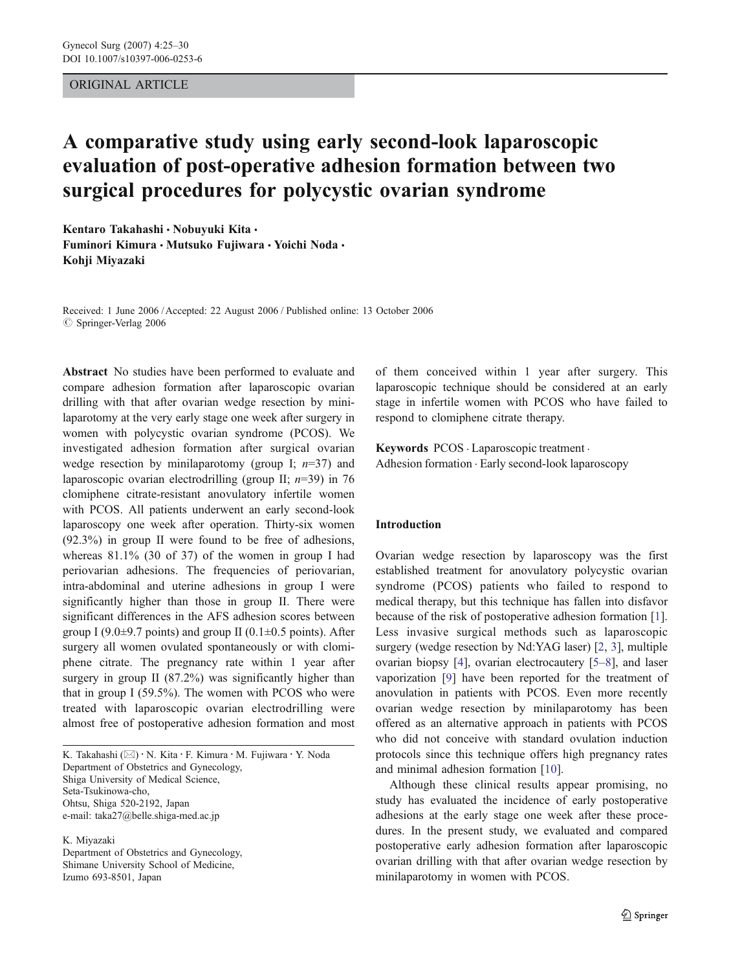## ORIGINAL ARTICLE

# A comparative study using early second-look laparoscopic evaluation of post-operative adhesion formation between two surgical procedures for polycystic ovarian syndrome

Kentaro Takahashi · Nobuyuki Kita · Fuminori Kimura • Mutsuko Fuiiwara • Yoichi Noda • Kohji Miyazaki

Received: 1 June 2006 /Accepted: 22 August 2006 / Published online: 13 October 2006  $\oslash$  Springer-Verlag 2006

Abstract No studies have been performed to evaluate and compare adhesion formation after laparoscopic ovarian drilling with that after ovarian wedge resection by minilaparotomy at the very early stage one week after surgery in women with polycystic ovarian syndrome (PCOS). We investigated adhesion formation after surgical ovarian wedge resection by minilaparotomy (group I;  $n=37$ ) and laparoscopic ovarian electrodrilling (group II;  $n=39$ ) in 76 clomiphene citrate-resistant anovulatory infertile women with PCOS. All patients underwent an early second-look laparoscopy one week after operation. Thirty-six women (92.3%) in group II were found to be free of adhesions, whereas 81.1% (30 of 37) of the women in group I had periovarian adhesions. The frequencies of periovarian, intra-abdominal and uterine adhesions in group I were significantly higher than those in group II. There were significant differences in the AFS adhesion scores between group I (9.0 $\pm$ 9.7 points) and group II (0.1 $\pm$ 0.5 points). After surgery all women ovulated spontaneously or with clomiphene citrate. The pregnancy rate within 1 year after surgery in group II (87.2%) was significantly higher than that in group I (59.5%). The women with PCOS who were treated with laparoscopic ovarian electrodrilling were almost free of postoperative adhesion formation and most

K. Takahashi  $(\boxtimes) \cdot N$ . Kita  $\cdot$  F. Kimura  $\cdot$  M. Fujiwara  $\cdot$  Y. Noda Department of Obstetrics and Gynecology, Shiga University of Medical Science, Seta-Tsukinowa-cho, Ohtsu, Shiga 520-2192, Japan e-mail: taka27@belle.shiga-med.ac.jp

K. Miyazaki Department of Obstetrics and Gynecology, Shimane University School of Medicine, Izumo 693-8501, Japan

of them conceived within 1 year after surgery. This laparoscopic technique should be considered at an early stage in infertile women with PCOS who have failed to respond to clomiphene citrate therapy.

Keywords PCOS . Laparoscopic treatment . Adhesion formation . Early second-look laparoscopy

### Introduction

Ovarian wedge resection by laparoscopy was the first established treatment for anovulatory polycystic ovarian syndrome (PCOS) patients who failed to respond to medical therapy, but this technique has fallen into disfavor because of the risk of postoperative adhesion formation [[1\]](#page-4-0). Less invasive surgical methods such as laparoscopic surgery (wedge resection by Nd:YAG laser) [[2,](#page-4-0) [3\]](#page-4-0), multiple ovarian biopsy [[4\]](#page-4-0), ovarian electrocautery [\[5](#page-4-0)–[8](#page-4-0)], and laser vaporization [[9\]](#page-4-0) have been reported for the treatment of anovulation in patients with PCOS. Even more recently ovarian wedge resection by minilaparotomy has been offered as an alternative approach in patients with PCOS who did not conceive with standard ovulation induction protocols since this technique offers high pregnancy rates and minimal adhesion formation [[10\]](#page-4-0).

Although these clinical results appear promising, no study has evaluated the incidence of early postoperative adhesions at the early stage one week after these procedures. In the present study, we evaluated and compared postoperative early adhesion formation after laparoscopic ovarian drilling with that after ovarian wedge resection by minilaparotomy in women with PCOS.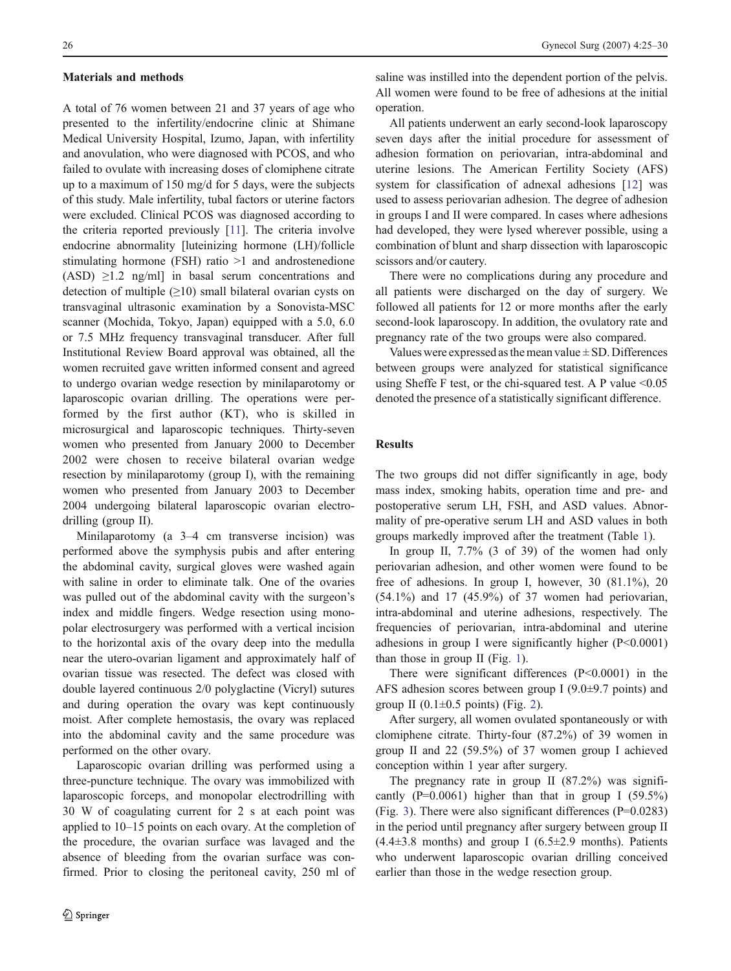#### Materials and methods

A total of 76 women between 21 and 37 years of age who presented to the infertility/endocrine clinic at Shimane Medical University Hospital, Izumo, Japan, with infertility and anovulation, who were diagnosed with PCOS, and who failed to ovulate with increasing doses of clomiphene citrate up to a maximum of 150 mg/d for 5 days, were the subjects of this study. Male infertility, tubal factors or uterine factors were excluded. Clinical PCOS was diagnosed according to the criteria reported previously [\[11\]](#page-4-0). The criteria involve endocrine abnormality [luteinizing hormone (LH)/follicle stimulating hormone (FSH) ratio >1 and androstenedione (ASD)  $\geq$ 1.2 ng/ml] in basal serum concentrations and detection of multiple  $(≥10)$  small bilateral ovarian cysts on transvaginal ultrasonic examination by a Sonovista-MSC scanner (Mochida, Tokyo, Japan) equipped with a 5.0, 6.0 or 7.5 MHz frequency transvaginal transducer. After full Institutional Review Board approval was obtained, all the women recruited gave written informed consent and agreed to undergo ovarian wedge resection by minilaparotomy or laparoscopic ovarian drilling. The operations were performed by the first author (KT), who is skilled in microsurgical and laparoscopic techniques. Thirty-seven women who presented from January 2000 to December 2002 were chosen to receive bilateral ovarian wedge resection by minilaparotomy (group I), with the remaining women who presented from January 2003 to December 2004 undergoing bilateral laparoscopic ovarian electrodrilling (group II).

Minilaparotomy (a 3–4 cm transverse incision) was performed above the symphysis pubis and after entering the abdominal cavity, surgical gloves were washed again with saline in order to eliminate talk. One of the ovaries was pulled out of the abdominal cavity with the surgeon's index and middle fingers. Wedge resection using monopolar electrosurgery was performed with a vertical incision to the horizontal axis of the ovary deep into the medulla near the utero-ovarian ligament and approximately half of ovarian tissue was resected. The defect was closed with double layered continuous 2/0 polyglactine (Vicryl) sutures and during operation the ovary was kept continuously moist. After complete hemostasis, the ovary was replaced into the abdominal cavity and the same procedure was performed on the other ovary.

Laparoscopic ovarian drilling was performed using a three-puncture technique. The ovary was immobilized with laparoscopic forceps, and monopolar electrodrilling with 30 W of coagulating current for 2 s at each point was applied to 10–15 points on each ovary. At the completion of the procedure, the ovarian surface was lavaged and the absence of bleeding from the ovarian surface was confirmed. Prior to closing the peritoneal cavity, 250 ml of saline was instilled into the dependent portion of the pelvis. All women were found to be free of adhesions at the initial operation.

All patients underwent an early second-look laparoscopy seven days after the initial procedure for assessment of adhesion formation on periovarian, intra-abdominal and uterine lesions. The American Fertility Society (AFS) system for classification of adnexal adhesions [\[12](#page-4-0)] was used to assess periovarian adhesion. The degree of adhesion in groups I and II were compared. In cases where adhesions had developed, they were lysed wherever possible, using a combination of blunt and sharp dissection with laparoscopic scissors and/or cautery.

There were no complications during any procedure and all patients were discharged on the day of surgery. We followed all patients for 12 or more months after the early second-look laparoscopy. In addition, the ovulatory rate and pregnancy rate of the two groups were also compared.

Values were expressed as the mean value  $\pm$  SD. Differences between groups were analyzed for statistical significance using Sheffe F test, or the chi-squared test. A P value  $\leq 0.05$ denoted the presence of a statistically significant difference.

### Results

The two groups did not differ significantly in age, body mass index, smoking habits, operation time and pre- and postoperative serum LH, FSH, and ASD values. Abnormality of pre-operative serum LH and ASD values in both groups markedly improved after the treatment (Table [1\)](#page-2-0).

In group II, 7.7% (3 of 39) of the women had only periovarian adhesion, and other women were found to be free of adhesions. In group I, however,  $30$   $(81.1\%)$ ,  $20$  $(54.1\%)$  and 17  $(45.9\%)$  of 37 women had periovarian, intra-abdominal and uterine adhesions, respectively. The frequencies of periovarian, intra-abdominal and uterine adhesions in group I were significantly higher (P<0.0001) than those in group II (Fig. [1](#page-2-0)).

There were significant differences (P<0.0001) in the AFS adhesion scores between group I (9.0±9.7 points) and group II  $(0.1\pm0.5 \text{ points})$  (Fig. [2](#page-2-0)).

After surgery, all women ovulated spontaneously or with clomiphene citrate. Thirty-four (87.2%) of 39 women in group II and 22 (59.5%) of 37 women group I achieved conception within 1 year after surgery.

The pregnancy rate in group II (87.2%) was significantly  $(P=0.0061)$  higher than that in group I (59.5%) (Fig. [3\)](#page-3-0). There were also significant differences (P=0.0283) in the period until pregnancy after surgery between group II  $(4.4\pm3.8 \text{ months})$  and group I  $(6.5\pm2.9 \text{ months})$ . Patients who underwent laparoscopic ovarian drilling conceived earlier than those in the wedge resection group.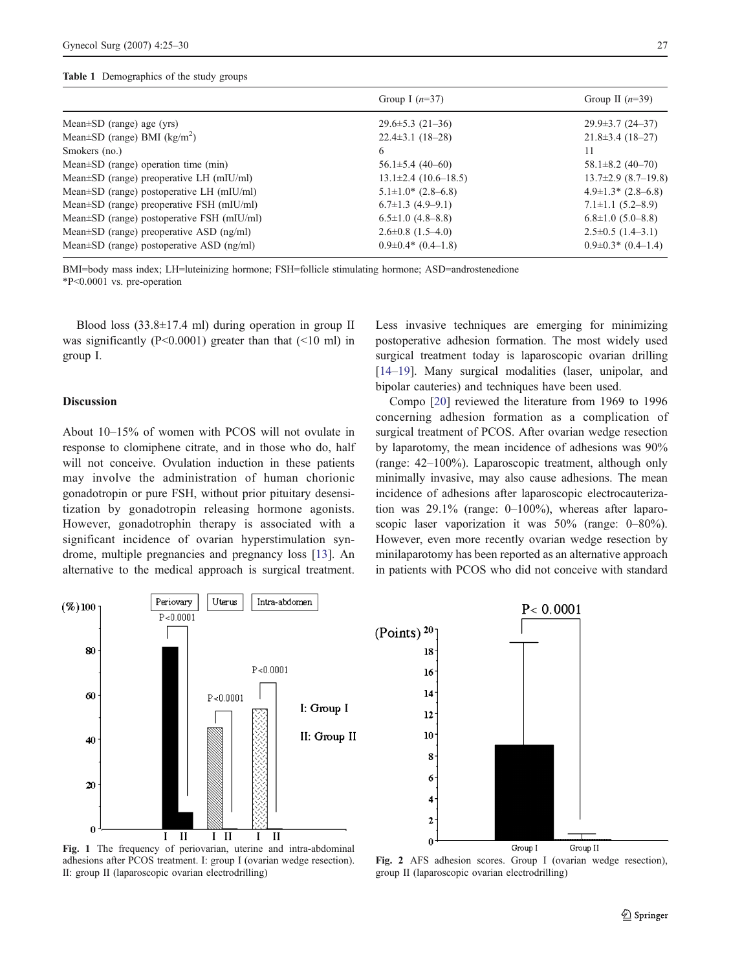#### <span id="page-2-0"></span>Table 1 Demographics of the study groups

| Group I $(n=37)$            | Group II $(n=39)$             |
|-----------------------------|-------------------------------|
| $29.6 \pm 5.3$ (21-36)      | $29.9 \pm 3.7$ (24-37)        |
| $22.4 \pm 3.1$ (18-28)      | $21.8 \pm 3.4$ (18-27)        |
| 6                           | 11                            |
| $56.1 \pm 5.4$ (40-60)      | $58.1 \pm 8.2$ (40-70)        |
| $13.1 \pm 2.4$ (10.6–18.5)  | $13.7\pm2.9$ (8.7-19.8)       |
| $5.1 \pm 1.0^* (2.8 - 6.8)$ | $4.9 \pm 1.3$ * $(2.8 - 6.8)$ |
| $6.7\pm1.3$ $(4.9-9.1)$     | $7.1 \pm 1.1$ (5.2–8.9)       |
| $6.5 \pm 1.0$ (4.8–8.8)     | $6.8 \pm 1.0$ (5.0–8.8)       |
| $2.6\pm0.8$ $(1.5-4.0)$     | $2.5\pm0.5(1.4-3.1)$          |
| $0.9\pm0.4*$ (0.4–1.8)      | $0.9\pm0.3*$ (0.4-1.4)        |
|                             |                               |

BMI=body mass index; LH=luteinizing hormone; FSH=follicle stimulating hormone; ASD=androstenedione \*P<0.0001 vs. pre-operation

Blood loss  $(33.8\pm17.4 \text{ ml})$  during operation in group II was significantly ( $P<0.0001$ ) greater than that ( $\leq10$  ml) in group I.

# Discussion

About 10–15% of women with PCOS will not ovulate in response to clomiphene citrate, and in those who do, half will not conceive. Ovulation induction in these patients may involve the administration of human chorionic gonadotropin or pure FSH, without prior pituitary desensitization by gonadotropin releasing hormone agonists. However, gonadotrophin therapy is associated with a significant incidence of ovarian hyperstimulation syndrome, multiple pregnancies and pregnancy loss [\[13](#page-4-0)]. An alternative to the medical approach is surgical treatment.

Less invasive techniques are emerging for minimizing postoperative adhesion formation. The most widely used surgical treatment today is laparoscopic ovarian drilling [\[14](#page-4-0)–[19](#page-5-0)]. Many surgical modalities (laser, unipolar, and bipolar cauteries) and techniques have been used.

Compo [[20\]](#page-5-0) reviewed the literature from 1969 to 1996 concerning adhesion formation as a complication of surgical treatment of PCOS. After ovarian wedge resection by laparotomy, the mean incidence of adhesions was 90% (range: 42–100%). Laparoscopic treatment, although only minimally invasive, may also cause adhesions. The mean incidence of adhesions after laparoscopic electrocauterization was 29.1% (range: 0–100%), whereas after laparoscopic laser vaporization it was 50% (range: 0–80%). However, even more recently ovarian wedge resection by minilaparotomy has been reported as an alternative approach in patients with PCOS who did not conceive with standard



adhesions after PCOS treatment. I: group I (ovarian wedge resection). II: group II (laparoscopic ovarian electrodrilling)

Fig. 2 AFS adhesion scores. Group I (ovarian wedge resection), group II (laparoscopic ovarian electrodrilling)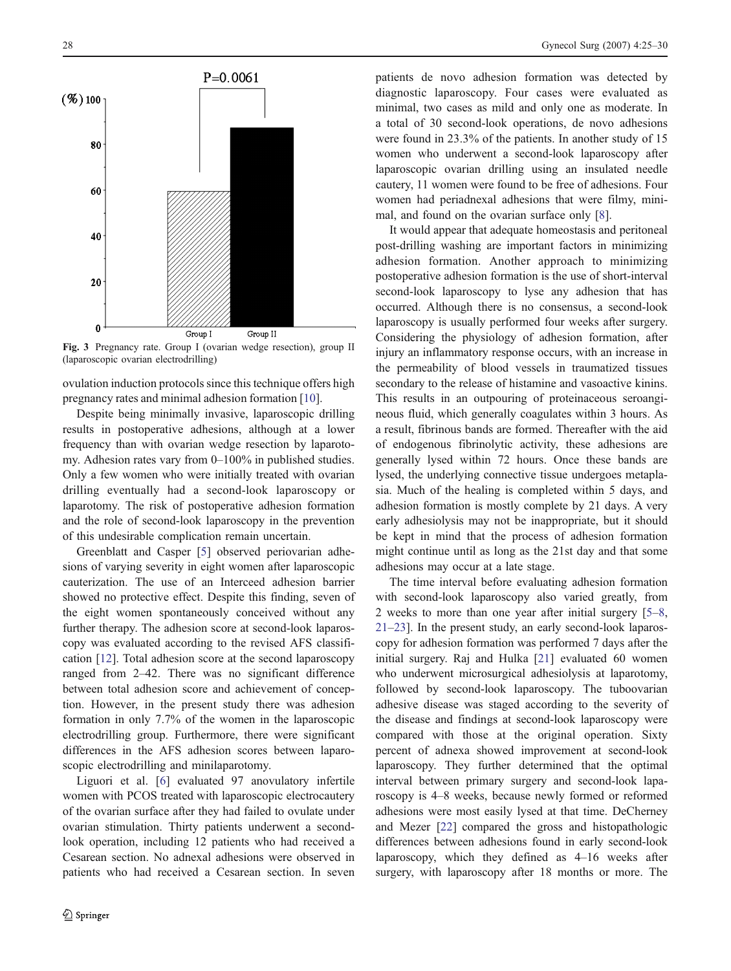<span id="page-3-0"></span>

Fig. 3 Pregnancy rate. Group I (ovarian wedge resection), group II (laparoscopic ovarian electrodrilling)

ovulation induction protocols since this technique offers high pregnancy rates and minimal adhesion formation [\[10](#page-4-0)].

Despite being minimally invasive, laparoscopic drilling results in postoperative adhesions, although at a lower frequency than with ovarian wedge resection by laparotomy. Adhesion rates vary from 0–100% in published studies. Only a few women who were initially treated with ovarian drilling eventually had a second-look laparoscopy or laparotomy. The risk of postoperative adhesion formation and the role of second-look laparoscopy in the prevention of this undesirable complication remain uncertain.

Greenblatt and Casper [[5\]](#page-4-0) observed periovarian adhesions of varying severity in eight women after laparoscopic cauterization. The use of an Interceed adhesion barrier showed no protective effect. Despite this finding, seven of the eight women spontaneously conceived without any further therapy. The adhesion score at second-look laparoscopy was evaluated according to the revised AFS classification [\[12](#page-4-0)]. Total adhesion score at the second laparoscopy ranged from 2–42. There was no significant difference between total adhesion score and achievement of conception. However, in the present study there was adhesion formation in only 7.7% of the women in the laparoscopic electrodrilling group. Furthermore, there were significant differences in the AFS adhesion scores between laparoscopic electrodrilling and minilaparotomy.

Liguori et al. [\[6](#page-4-0)] evaluated 97 anovulatory infertile women with PCOS treated with laparoscopic electrocautery of the ovarian surface after they had failed to ovulate under ovarian stimulation. Thirty patients underwent a secondlook operation, including 12 patients who had received a Cesarean section. No adnexal adhesions were observed in patients who had received a Cesarean section. In seven patients de novo adhesion formation was detected by diagnostic laparoscopy. Four cases were evaluated as minimal, two cases as mild and only one as moderate. In a total of 30 second-look operations, de novo adhesions were found in 23.3% of the patients. In another study of 15 women who underwent a second-look laparoscopy after laparoscopic ovarian drilling using an insulated needle cautery, 11 women were found to be free of adhesions. Four women had periadnexal adhesions that were filmy, minimal, and found on the ovarian surface only [\[8](#page-4-0)].

It would appear that adequate homeostasis and peritoneal post-drilling washing are important factors in minimizing adhesion formation. Another approach to minimizing postoperative adhesion formation is the use of short-interval second-look laparoscopy to lyse any adhesion that has occurred. Although there is no consensus, a second-look laparoscopy is usually performed four weeks after surgery. Considering the physiology of adhesion formation, after injury an inflammatory response occurs, with an increase in the permeability of blood vessels in traumatized tissues secondary to the release of histamine and vasoactive kinins. This results in an outpouring of proteinaceous seroangineous fluid, which generally coagulates within 3 hours. As a result, fibrinous bands are formed. Thereafter with the aid of endogenous fibrinolytic activity, these adhesions are generally lysed within 72 hours. Once these bands are lysed, the underlying connective tissue undergoes metaplasia. Much of the healing is completed within 5 days, and adhesion formation is mostly complete by 21 days. A very early adhesiolysis may not be inappropriate, but it should be kept in mind that the process of adhesion formation might continue until as long as the 21st day and that some adhesions may occur at a late stage.

The time interval before evaluating adhesion formation with second-look laparoscopy also varied greatly, from 2 weeks to more than one year after initial surgery [[5](#page-4-0)–[8,](#page-4-0) [21](#page-5-0)–[23](#page-5-0)]. In the present study, an early second-look laparoscopy for adhesion formation was performed 7 days after the initial surgery. Raj and Hulka [\[21](#page-5-0)] evaluated 60 women who underwent microsurgical adhesiolysis at laparotomy, followed by second-look laparoscopy. The tuboovarian adhesive disease was staged according to the severity of the disease and findings at second-look laparoscopy were compared with those at the original operation. Sixty percent of adnexa showed improvement at second-look laparoscopy. They further determined that the optimal interval between primary surgery and second-look laparoscopy is 4–8 weeks, because newly formed or reformed adhesions were most easily lysed at that time. DeCherney and Mezer [\[22](#page-5-0)] compared the gross and histopathologic differences between adhesions found in early second-look laparoscopy, which they defined as 4–16 weeks after surgery, with laparoscopy after 18 months or more. The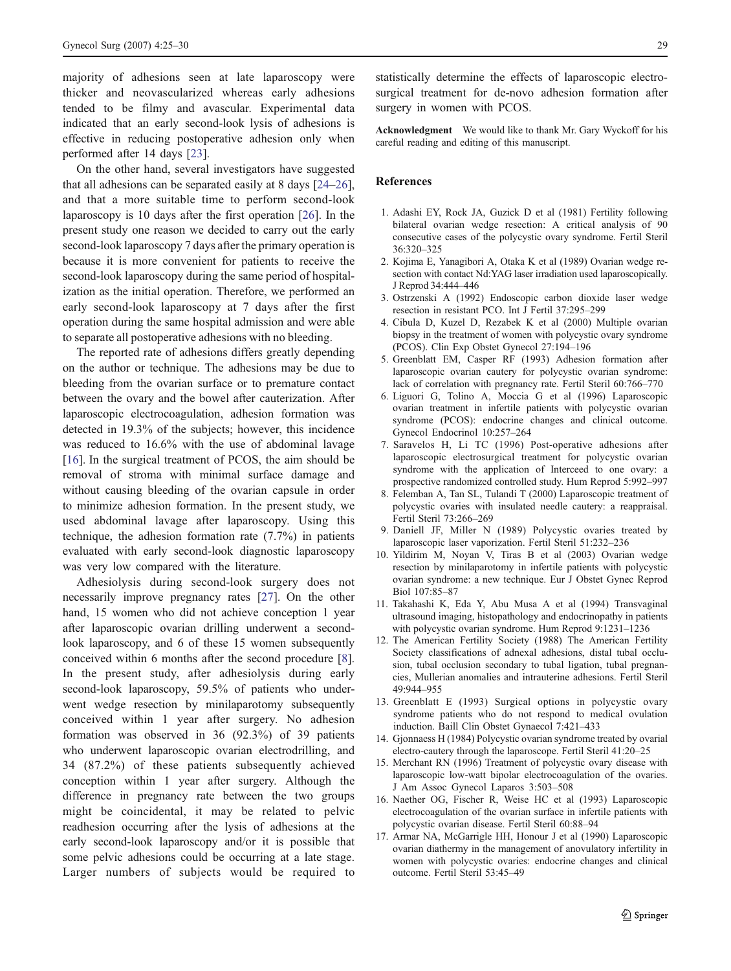<span id="page-4-0"></span>majority of adhesions seen at late laparoscopy were thicker and neovascularized whereas early adhesions tended to be filmy and avascular. Experimental data indicated that an early second-look lysis of adhesions is effective in reducing postoperative adhesion only when performed after 14 days [\[23](#page-5-0)].

On the other hand, several investigators have suggested that all adhesions can be separated easily at 8 days [\[24](#page-5-0)–[26](#page-5-0)], and that a more suitable time to perform second-look laparoscopy is 10 days after the first operation [[26](#page-5-0)]. In the present study one reason we decided to carry out the early second-look laparoscopy 7 days after the primary operation is because it is more convenient for patients to receive the second-look laparoscopy during the same period of hospitalization as the initial operation. Therefore, we performed an early second-look laparoscopy at 7 days after the first operation during the same hospital admission and were able to separate all postoperative adhesions with no bleeding.

The reported rate of adhesions differs greatly depending on the author or technique. The adhesions may be due to bleeding from the ovarian surface or to premature contact between the ovary and the bowel after cauterization. After laparoscopic electrocoagulation, adhesion formation was detected in 19.3% of the subjects; however, this incidence was reduced to 16.6% with the use of abdominal lavage [16]. In the surgical treatment of PCOS, the aim should be removal of stroma with minimal surface damage and without causing bleeding of the ovarian capsule in order to minimize adhesion formation. In the present study, we used abdominal lavage after laparoscopy. Using this technique, the adhesion formation rate (7.7%) in patients evaluated with early second-look diagnostic laparoscopy was very low compared with the literature.

Adhesiolysis during second-look surgery does not necessarily improve pregnancy rates [[27\]](#page-5-0). On the other hand, 15 women who did not achieve conception 1 year after laparoscopic ovarian drilling underwent a secondlook laparoscopy, and 6 of these 15 women subsequently conceived within 6 months after the second procedure [8]. In the present study, after adhesiolysis during early second-look laparoscopy, 59.5% of patients who underwent wedge resection by minilaparotomy subsequently conceived within 1 year after surgery. No adhesion formation was observed in 36 (92.3%) of 39 patients who underwent laparoscopic ovarian electrodrilling, and 34 (87.2%) of these patients subsequently achieved conception within 1 year after surgery. Although the difference in pregnancy rate between the two groups might be coincidental, it may be related to pelvic readhesion occurring after the lysis of adhesions at the early second-look laparoscopy and/or it is possible that some pelvic adhesions could be occurring at a late stage. Larger numbers of subjects would be required to statistically determine the effects of laparoscopic electrosurgical treatment for de-novo adhesion formation after surgery in women with PCOS.

Acknowledgment We would like to thank Mr. Gary Wyckoff for his careful reading and editing of this manuscript.

#### References

- 1. Adashi EY, Rock JA, Guzick D et al (1981) Fertility following bilateral ovarian wedge resection: A critical analysis of 90 consecutive cases of the polycystic ovary syndrome. Fertil Steril 36:320–325
- 2. Kojima E, Yanagibori A, Otaka K et al (1989) Ovarian wedge resection with contact Nd:YAG laser irradiation used laparoscopically. J Reprod 34:444–446
- 3. Ostrzenski A (1992) Endoscopic carbon dioxide laser wedge resection in resistant PCO. Int J Fertil 37:295–299
- 4. Cibula D, Kuzel D, Rezabek K et al (2000) Multiple ovarian biopsy in the treatment of women with polycystic ovary syndrome (PCOS). Clin Exp Obstet Gynecol 27:194–196
- 5. Greenblatt EM, Casper RF (1993) Adhesion formation after laparoscopic ovarian cautery for polycystic ovarian syndrome: lack of correlation with pregnancy rate. Fertil Steril 60:766–770
- 6. Liguori G, Tolino A, Moccia G et al (1996) Laparoscopic ovarian treatment in infertile patients with polycystic ovarian syndrome (PCOS): endocrine changes and clinical outcome. Gynecol Endocrinol 10:257–264
- 7. Saravelos H, Li TC (1996) Post-operative adhesions after laparoscopic electrosurgical treatment for polycystic ovarian syndrome with the application of Interceed to one ovary: a prospective randomized controlled study. Hum Reprod 5:992–997
- 8. Felemban A, Tan SL, Tulandi T (2000) Laparoscopic treatment of polycystic ovaries with insulated needle cautery: a reappraisal. Fertil Steril 73:266–269
- 9. Daniell JF, Miller N (1989) Polycystic ovaries treated by laparoscopic laser vaporization. Fertil Steril 51:232–236
- 10. Yildirim M, Noyan V, Tiras B et al (2003) Ovarian wedge resection by minilaparotomy in infertile patients with polycystic ovarian syndrome: a new technique. Eur J Obstet Gynec Reprod Biol 107:85–87
- 11. Takahashi K, Eda Y, Abu Musa A et al (1994) Transvaginal ultrasound imaging, histopathology and endocrinopathy in patients with polycystic ovarian syndrome. Hum Reprod 9:1231–1236
- 12. The American Fertility Society (1988) The American Fertility Society classifications of adnexal adhesions, distal tubal occlusion, tubal occlusion secondary to tubal ligation, tubal pregnancies, Mullerian anomalies and intrauterine adhesions. Fertil Steril 49:944–955
- 13. Greenblatt E (1993) Surgical options in polycystic ovary syndrome patients who do not respond to medical ovulation induction. Baill Clin Obstet Gynaecol 7:421–433
- 14. Gjonnaess H (1984) Polycystic ovarian syndrome treated by ovarial electro-cautery through the laparoscope. Fertil Steril 41:20–25
- 15. Merchant RN (1996) Treatment of polycystic ovary disease with laparoscopic low-watt bipolar electrocoagulation of the ovaries. J Am Assoc Gynecol Laparos 3:503–508
- 16. Naether OG, Fischer R, Weise HC et al (1993) Laparoscopic electrocoagulation of the ovarian surface in infertile patients with polycystic ovarian disease. Fertil Steril 60:88–94
- 17. Armar NA, McGarrigle HH, Honour J et al (1990) Laparoscopic ovarian diathermy in the management of anovulatory infertility in women with polycystic ovaries: endocrine changes and clinical outcome. Fertil Steril 53:45–49